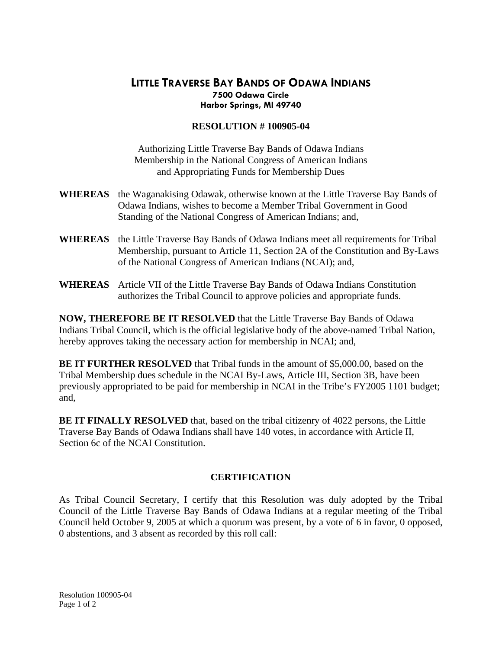## **LITTLE TRAVERSE BAY BANDS OF ODAWA INDIANS 7500 Odawa Circle Harbor Springs, MI 49740**

## **RESOLUTION # 100905-04**

Authorizing Little Traverse Bay Bands of Odawa Indians Membership in the National Congress of American Indians and Appropriating Funds for Membership Dues

- **WHEREAS** the Waganakising Odawak, otherwise known at the Little Traverse Bay Bands of Odawa Indians, wishes to become a Member Tribal Government in Good Standing of the National Congress of American Indians; and,
- **WHEREAS** the Little Traverse Bay Bands of Odawa Indians meet all requirements for Tribal Membership, pursuant to Article 11, Section 2A of the Constitution and By-Laws of the National Congress of American Indians (NCAI); and,
- **WHEREAS** Article VII of the Little Traverse Bay Bands of Odawa Indians Constitution authorizes the Tribal Council to approve policies and appropriate funds.

**NOW, THEREFORE BE IT RESOLVED** that the Little Traverse Bay Bands of Odawa Indians Tribal Council, which is the official legislative body of the above-named Tribal Nation, hereby approves taking the necessary action for membership in NCAI; and,

**BE IT FURTHER RESOLVED** that Tribal funds in the amount of \$5,000.00, based on the Tribal Membership dues schedule in the NCAI By-Laws, Article III, Section 3B, have been previously appropriated to be paid for membership in NCAI in the Tribe's FY2005 1101 budget; and,

**BE IT FINALLY RESOLVED** that, based on the tribal citizenry of 4022 persons, the Little Traverse Bay Bands of Odawa Indians shall have 140 votes, in accordance with Article II, Section 6c of the NCAI Constitution.

## **CERTIFICATION**

As Tribal Council Secretary, I certify that this Resolution was duly adopted by the Tribal Council of the Little Traverse Bay Bands of Odawa Indians at a regular meeting of the Tribal Council held October 9, 2005 at which a quorum was present, by a vote of 6 in favor, 0 opposed, 0 abstentions, and 3 absent as recorded by this roll call: